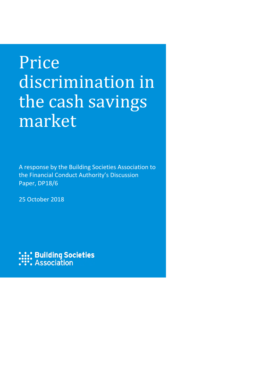# Price discrimination in the cash savings market

A response by the Building Societies Association to the Financial Conduct Authority's Discussion Paper, DP18/6

25 October 2018

**:::: Building Societies**<br>**:::: Association**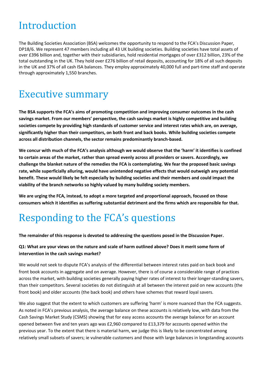# Introduction

The Building Societies Association (BSA) welcomes the opportunity to respond to the FCA's Discussion Paper, DP18/6. We represent 47 members including all 43 UK building societies. Building societies have total assets of over £396 billion and, together with their subsidiaries, hold residential mortgages of over £312 billion, 23% of the total outstanding in the UK. They hold over £276 billion of retail deposits, accounting for 18% of all such deposits in the UK and 37% of all cash ISA balances. They employ approximately 40,000 full and part-time staff and operate through approximately 1,550 branches.

# Executive summary

**The BSA supports the FCA's aims of promoting competition and improving consumer outcomes in the cash savings market. From our members' perspective, the cash savings market is highly competitive and building societies compete by providing high standards of customer service and interest rates which are, on average, significantly higher than their competitors, on both front and back books. While building societies compete across all distribution channels, the sector remains predominantly branch-based.**

**We concur with much of the FCA's analysis although we would observe that the 'harm' it identifies is confined to certain areas of the market, rather than spread evenly across all providers or savers. Accordingly, we challenge the blanket nature of the remedies the FCA is contemplating. We fear the proposed basic savings rate, while superficially alluring, would have unintended negative effects that would outweigh any potential benefit. These would likely be felt especially by building societies and their members and could impact the viability of the branch networks so highly valued by many building society members.**

**We are urging the FCA, instead, to adopt a more targeted and proportional approach, focused on those consumers which it identifies as suffering substantial detriment and the firms which are responsible for that.**

# Responding to the FCA's questions

#### **The remainder of this response is devoted to addressing the questions posed in the Discussion Paper.**

#### **Q1: What are your views on the nature and scale of harm outlined above? Does it merit some form of intervention in the cash savings market?**

We would not seek to dispute FCA's analysis of the differential between interest rates paid on back book and front book accounts in aggregate and on average. However, there is of course a considerable range of practices across the market, with building societies generally paying higher rates of interest to their longer-standing savers, than their competitors. Several societies do not distinguish at all between the interest paid on new accounts (the front book) and older accounts (the back book) and others have schemes that reward loyal savers.

We also suggest that the extent to which customers are suffering 'harm' is more nuanced than the FCA suggests. As noted in FCA's previous analysis, the average balance on these accounts is relatively low, with data from the Cash Savings Market Study (CSMS) showing that for easy access accounts the average balance for an account opened between five and ten years ago was £2,960 compared to £13,379 for accounts opened within the previous year. To the extent that there is material harm, we judge this is likely to be concentrated among relatively small subsets of savers; ie vulnerable customers and those with large balances in longstanding accounts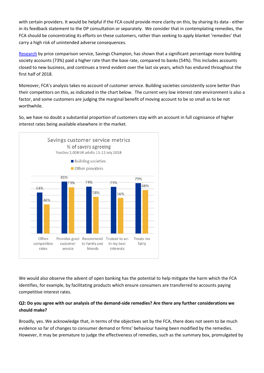with certain providers. It would be helpful if the FCA could provide more clarity on this, by sharing its data - either in its feedback statement to the DP consultation or separately. We consider that in contemplating remedies, the FCA should be concentrating its efforts on these customers, rather than seeking to apply blanket 'remedies' that carry a high risk of unintended adverse consequences.

[Research](https://savingschampion.co.uk/news/savings-news/banks-vs-building-societies-building-societies-continue-dominate-battle/) by price comparison service, Savings Champion, has shown that a significant percentage more building society accounts (73%) paid a higher rate than the base rate, compared to banks (54%). This includes accounts closed to new business, and continues a trend evident over the last six years, which has endured throughout the first half of 2018.

Moreover, FCA's analysis takes no account of customer service. Building societies consistently score better than their competitors on this, as indicated in the chart below. The current very low interest rate environment is also a factor, and some customers are judging the marginal benefit of moving account to be so small as to be not worthwhile.

So, we have no doubt a substantial proportion of customers stay with an account in full cognisance of higher interest rates being available elsewhere in the market.



We would also observe the advent of open banking has the potential to help mitigate the harm which the FCA identifies, for example, by facilitating products which ensure consumers are transferred to accounts paying competitive interest rates.

#### **Q2: Do you agree with our analysis of the demand-side remedies? Are there any further considerations we should make?**

Broadly, yes. We acknowledge that, in terms of the objectives set by the FCA, there does not seem to be much evidence so far of changes to consumer demand or firms' behaviour having been modified by the remedies. However, it may be premature to judge the effectiveness of remedies, such as the summary box, promulgated by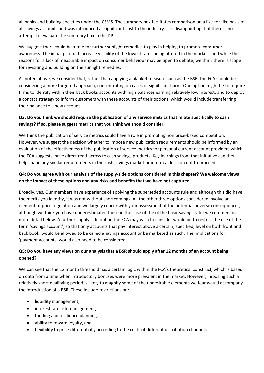all banks and building societies under the CSMS. The summary box facilitates comparison on a like-for-like basis of all savings accounts and was introduced at significant cost to the industry. It is disappointing that there is no attempt to evaluate the summary box in the DP.

We suggest there could be a role for further sunlight remedies to play in helping to promote consumer awareness. The initial pilot did increase visibility of the lowest rates being offered in the market - and while the reasons for a lack of measurable impact on consumer behaviour may be open to debate, we think there is scope for revisiting and building on the sunlight remedies.

As noted above, we consider that, rather than applying a blanket measure such as the BSR, the FCA should be considering a more targeted approach, concentrating on cases of significant harm. One option might be to require firms to identify within their back books accounts with high balances earning relatively low interest, and to deploy a contact strategy to inform customers with these accounts of their options, which would include transferring their balance to a new account.

### **Q3: Do you think we should require the publication of any service metrics that relate specifically to cash savings? If so, please suggest metrics that you think we should consider.**

We think the publication of service metrics could have a role in promoting non price-based competition. However, we suggest the decision whether to impose new publication requirements should be informed by an evaluation of the effectiveness of the publication of service metrics for personal current account providers which, the FCA suggests, have direct read-across to cash savings products. Key learnings from that initiative can then help shape any similar requirements in the cash savings market or inform a decision not to proceed.

### **Q4: Do you agree with our analysis of the supply-side options considered in this chapter? We welcome views on the impact of these options and any risks and benefits that we have not captured.**

Broadly, yes. Our members have experience of applying the superseded accounts rule and although this did have the merits you identify, it was not without shortcomings. All the other three options considered involve an element of price regulation and we largely concur with your assessment of the potential adverse consequences, although we think you have underestimated these in the case of the of the basic savings rate: we comment in more detail below. A further supply side option the FCA may wish to consider would be to restrict the use of the term 'savings account', so that only accounts that pay interest above a certain, specified, level on both front and back book, would be allowed to be called a savings account or be marketed as such. The implications for 'payment accounts' would also need to be considered.

### **Q5: Do you have any views on our analysis that a BSR should apply after 12 months of an account being opened?**

We can see that the 12 month threshold has a certain logic within the FCA's theoretical construct, which is based on data from a time when introductory bonuses were more prevalent in the market. However, imposing such a relatively short qualifying period is likely to magnify some of the undesirable elements we fear would accompany the introduction of a BSR. These include restrictions on:

- liquidity management,
- interest rate risk management,
- funding and resilience planning,
- ability to reward loyalty, and
- flexibility to price differentially according to the costs of different distribution channels.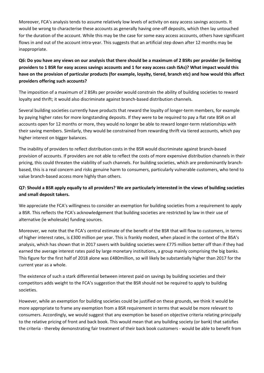Moreover, FCA's analysis tends to assume relatively low levels of activity on easy access savings accounts. It would be wrong to characterise these accounts as generally having one-off deposits, which then lay untouched for the duration of the account. While this may be the case for some easy access accounts, others have significant flows in and out of the account intra-year. This suggests that an artificial step down after 12 months may be inappropriate.

### **Q6: Do you have any views on our analysis that there should be a maximum of 2 BSRs per provider (ie limiting providers to 1 BSR for easy access savings accounts and 1 for easy access cash ISAs)? What impact would this have on the provision of particular products (for example, loyalty, tiered, branch etc) and how would this affect providers offering such accounts?**

The imposition of a maximum of 2 BSRs per provider would constrain the ability of building societies to reward loyalty and thrift; it would also discriminate against branch-based distribution channels.

Several building societies currently have products that reward the loyalty of longer-term members, for example by paying higher rates for more longstanding deposits. If they were to be required to pay a flat rate BSR on all accounts open for 12 months or more, they would no longer be able to reward longer-term relationships with their saving members. Similarly, they would be constrained from rewarding thrift via tiered accounts, which pay higher interest on bigger balances.

The inability of providers to reflect distribution costs in the BSR would discriminate against branch-based provision of accounts. If providers are not able to reflect the costs of more expensive distribution channels in their pricing, this could threaten the viability of such channels. For building societies, which are predominantly branchbased, this is a real concern and risks genuine harm to consumers, particularly vulnerable customers, who tend to value branch-based access more highly than others.

### **Q7: Should a BSR apply equally to all providers? We are particularly interested in the views of building societies and small deposit takers.**

We appreciate the FCA's willingness to consider an exemption for building societies from a requirement to apply a BSR. This reflects the FCA's acknowledgement that building societies are restricted by law in their use of alternative (ie wholesale) funding sources.

Moreover, we note that the FCA's central estimate of the benefit of the BSR that will flow to customers, in terms of higher interest rates, is £300 million per year. This is frankly modest, when placed in the context of the BSA's analysis, which has shown that in 2017 savers with building societies were £775 million better off than if they had earned the average interest rates paid by large monetary institutions, a group mainly comprising the big banks. This figure for the first half of 2018 alone was £480million, so will likely be substantially higher than 2017 for the current year as a whole.

The existence of such a stark differential between interest paid on savings by building societies and their competitors adds weight to the FCA's suggestion that the BSR should not be required to apply to building societies.

However, while an exemption for building societies could be justified on these grounds, we think it would be more appropriate to frame any exemption from a BSR requirement in terms that would be more relevant to consumers. Accordingly, we would suggest that any exemption be based on objective criteria relating principally to the relative pricing of front and back book. This would mean that any building society (or bank) that satisfies the criteria - thereby demonstrating fair treatment of their back book customers - would be able to benefit from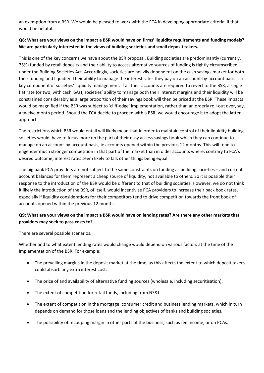an exemption from a BSR. We would be pleased to work with the FCA in developing appropriate criteria, if that would be helpful.

#### **Q8: What are your views on the impact a BSR would have on firms' liquidity requirements and funding models? We are particularly interested in the views of building societies and small deposit takers.**

This is one of the key concerns we have about the BSR proposal. Building societies are predominantly (currently, 75%) funded by retail deposits and their ability to access alternative sources of funding is tightly circumscribed under the Building Societies Act. Accordingly, societies are heavily dependent on the cash savings market for both their funding and liquidity. Their ability to manage the interest rates they pay on an account-by-account basis is a key component of societies' liquidity management. If all their accounts are required to revert to the BSR, a single flat rate (or two, with cash ISAs), societies' ability to manage both their interest margins and their liquidity will be constrained considerably as a large proportion of their savings book will then be priced at the BSR. These impacts would be magnified if the BSR was subject to 'cliff-edge' implementation, rather than an orderly roll-out over, say, a twelve month period. Should the FCA decide to proceed with a BSR, we would encourage it to adopt the latter approach.

The restrictions which BSR would entail will likely mean that in order to maintain control of their liquidity building societies would have to focus more on the part of their easy access savings book which they can continue to manage on an account-by-account basis, ie accounts opened within the previous 12 months. This will tend to engender much stronger competition in that part of the market than in older accounts where, contrary to FCA's desired outcome, interest rates seem likely to fall, other things being equal.

The big bank PCA providers are not subject to the same constraints on funding as building societies – and current account balances for them represent a cheap source of liquidity, not available to others. So it is possible their response to the introduction of the BSR would be different to that of building societies. However, we do not think it likely the introduction of the BSR, of itself, would incentivise PCA providers to increase their back book rates, especially if liquidity considerations for their competitors tend to drive competition towards the front book of accounts opened within the previous 12 months.

### **Q9: What are your views on the impact a BSR would have on lending rates? Are there any other markets that providers may seek to pass costs to?**

There are several possible scenarios.

Whether and to what extent lending rates would change would depend on various factors at the time of the implementation of the BSR. For example:

- The prevailing margins in the deposit market at the time, as this affects the extent to which deposit takers could absorb any extra interest cost.
- The price of and availability of alternative funding sources (wholesale, including securitisation).
- The extent of competition for retail funds, including from NS&I.
- The extent of competition in the mortgage, consumer credit and business lending markets, which in turn depends on demand for those loans and the lending objectives of banks and building societies.
- The possibility of recouping margin in other parts of the business, such as fee income, or on PCAs.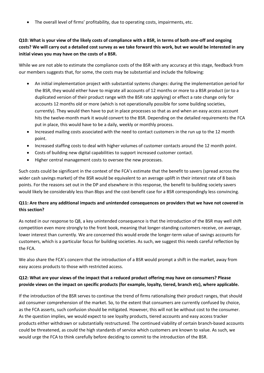• The overall level of firms' profitability, due to operating costs, impairments, etc.

### **Q10: What is your view of the likely costs of compliance with a BSR, in terms of both one-off and ongoing costs? We will carry out a detailed cost survey as we take forward this work, but we would be interested in any initial views you may have on the costs of a BSR.**

While we are not able to estimate the compliance costs of the BSR with any accuracy at this stage, feedback from our members suggests that, for some, the costs may be substantial and include the following:

- An initial implementation project with substantial systems changes: during the implementation period for the BSR, they would either have to migrate all accounts of 12 months or more to a BSR product (or to a duplicated version of their product range with the BSR rate applying) or effect a rate change only for accounts 12 months old or more (which is not operationally possible for some building societies, currently). They would then have to put in place processes so that as and when an easy access account hits the twelve-month mark it would convert to the BSR. Depending on the detailed requirements the FCA put in place, this would have to be a daily, weekly or monthly process.
- Increased mailing costs associated with the need to contact customers in the run up to the 12 month point.
- Increased staffing costs to deal with higher volumes of customer contacts around the 12 month point.
- Costs of building new digital capabilities to support increased customer contact.
- Higher central management costs to oversee the new processes.

Such costs could be significant in the context of the FCA's estimate that the benefit to savers (spread across the wider cash savings market) of the BSR would be equivalent to an average uplift in their interest rate of 8 basis points. For the reasons set out in the DP and elsewhere in this response, the benefit to building society savers would likely be considerably less than 8bps and the cost-benefit case for a BSR correspondingly less convincing.

#### **Q11: Are there any additional impacts and unintended consequences on providers that we have not covered in this section?**

As noted in our response to Q8, a key unintended consequence is that the introduction of the BSR may well shift competition even more strongly to the front book, meaning that longer-standing customers receive, on average, lower interest than currently. We are concerned this would erode the longer-term value of savings accounts for customers, which is a particular focus for building societies. As such, we suggest this needs careful reflection by the FCA.

We also share the FCA's concern that the introduction of a BSR would prompt a shift in the market, away from easy access products to those with restricted access.

### **Q12: What are your views of the impact that a reduced product offering may have on consumers? Please provide views on the impact on specific products (for example, loyalty, tiered, branch etc), where applicable.**

If the introduction of the BSR serves to continue the trend of firms rationalising their product ranges, that should aid consumer comprehension of the market. So, to the extent that consumers are currently confused by choice, as the FCA asserts, such confusion should be mitigated. However, this will not be without cost to the consumer. As the question implies, we would expect to see loyalty products, tiered accounts and easy access tracker products either withdrawn or substantially restructured. The continued viability of certain branch-based accounts could be threatened, as could the high standards of service which customers are known to value. As such, we would urge the FCA to think carefully before deciding to commit to the introduction of the BSR.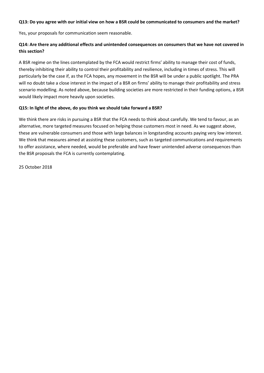#### **Q13: Do you agree with our initial view on how a BSR could be communicated to consumers and the market?**

Yes, your proposals for communication seem reasonable.

#### **Q14: Are there any additional effects and unintended consequences on consumers that we have not covered in this section?**

A BSR regime on the lines contemplated by the FCA would restrict firms' ability to manage their cost of funds, thereby inhibiting their ability to control their profitability and resilience, including in times of stress. This will particularly be the case if, as the FCA hopes, any movement in the BSR will be under a public spotlight. The PRA will no doubt take a close interest in the impact of a BSR on firms' ability to manage their profitability and stress scenario modelling. As noted above, because building societies are more restricted in their funding options, a BSR would likely impact more heavily upon societies.

#### **Q15: In light of the above, do you think we should take forward a BSR?**

We think there are risks in pursuing a BSR that the FCA needs to think about carefully. We tend to favour, as an alternative, more targeted measures focused on helping those customers most in need. As we suggest above, these are vulnerable consumers and those with large balances in longstanding accounts paying very low interest. We think that measures aimed at assisting these customers, such as targeted communications and requirements to offer assistance, where needed, would be preferable and have fewer unintended adverse consequences than the BSR proposals the FCA is currently contemplating.

25 October 2018